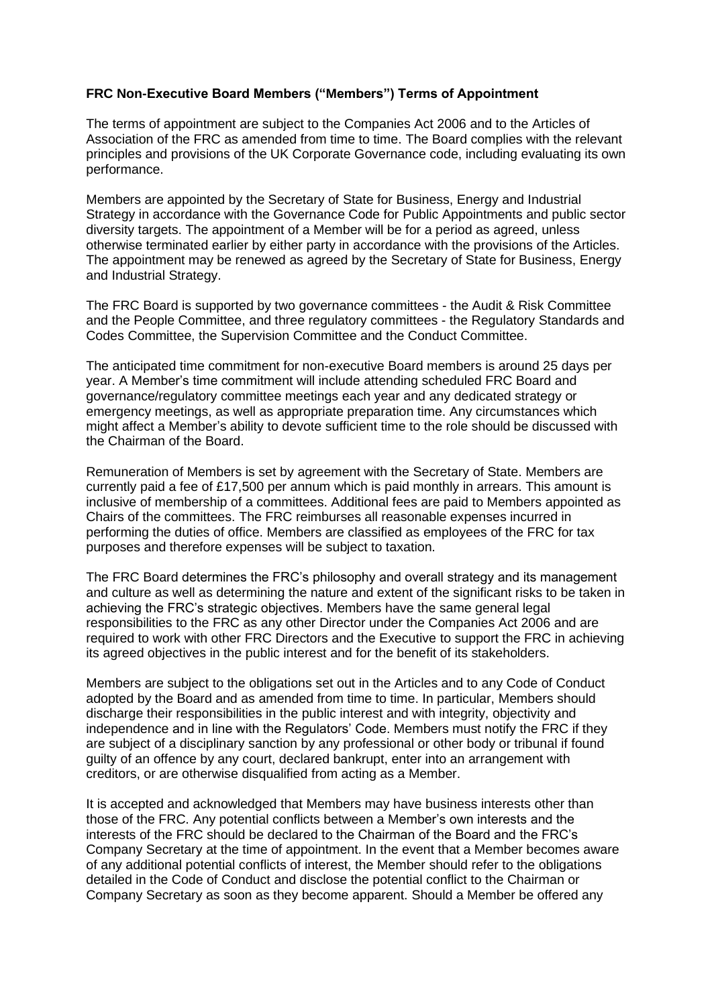## **FRC Non-Executive Board Members ("Members") Terms of Appointment**

The terms of appointment are subject to the Companies Act 2006 and to the Articles of Association of the FRC as amended from time to time. The Board complies with the relevant principles and provisions of the UK Corporate Governance code, including evaluating its own performance.

Members are appointed by the Secretary of State for Business, Energy and Industrial Strategy in accordance with the Governance Code for Public Appointments and public sector diversity targets. The appointment of a Member will be for a period as agreed, unless otherwise terminated earlier by either party in accordance with the provisions of the Articles. The appointment may be renewed as agreed by the Secretary of State for Business, Energy and Industrial Strategy.

The FRC Board is supported by two governance committees - the Audit & Risk Committee and the People Committee, and three regulatory committees - the Regulatory Standards and Codes Committee, the Supervision Committee and the Conduct Committee.

The anticipated time commitment for non-executive Board members is around 25 days per year. A Member's time commitment will include attending scheduled FRC Board and governance/regulatory committee meetings each year and any dedicated strategy or emergency meetings, as well as appropriate preparation time. Any circumstances which might affect a Member's ability to devote sufficient time to the role should be discussed with the Chairman of the Board.

Remuneration of Members is set by agreement with the Secretary of State. Members are currently paid a fee of £17,500 per annum which is paid monthly in arrears. This amount is inclusive of membership of a committees. Additional fees are paid to Members appointed as Chairs of the committees. The FRC reimburses all reasonable expenses incurred in performing the duties of office. Members are classified as employees of the FRC for tax purposes and therefore expenses will be subject to taxation.

The FRC Board determines the FRC's philosophy and overall strategy and its management and culture as well as determining the nature and extent of the significant risks to be taken in achieving the FRC's strategic objectives. Members have the same general legal responsibilities to the FRC as any other Director under the Companies Act 2006 and are required to work with other FRC Directors and the Executive to support the FRC in achieving its agreed objectives in the public interest and for the benefit of its stakeholders.

Members are subject to the obligations set out in the Articles and to any Code of Conduct adopted by the Board and as amended from time to time. In particular, Members should discharge their responsibilities in the public interest and with integrity, objectivity and independence and in line with the Regulators' Code. Members must notify the FRC if they are subject of a disciplinary sanction by any professional or other body or tribunal if found guilty of an offence by any court, declared bankrupt, enter into an arrangement with creditors, or are otherwise disqualified from acting as a Member.

It is accepted and acknowledged that Members may have business interests other than those of the FRC. Any potential conflicts between a Member's own interests and the interests of the FRC should be declared to the Chairman of the Board and the FRC's Company Secretary at the time of appointment. In the event that a Member becomes aware of any additional potential conflicts of interest, the Member should refer to the obligations detailed in the Code of Conduct and disclose the potential conflict to the Chairman or Company Secretary as soon as they become apparent. Should a Member be offered any